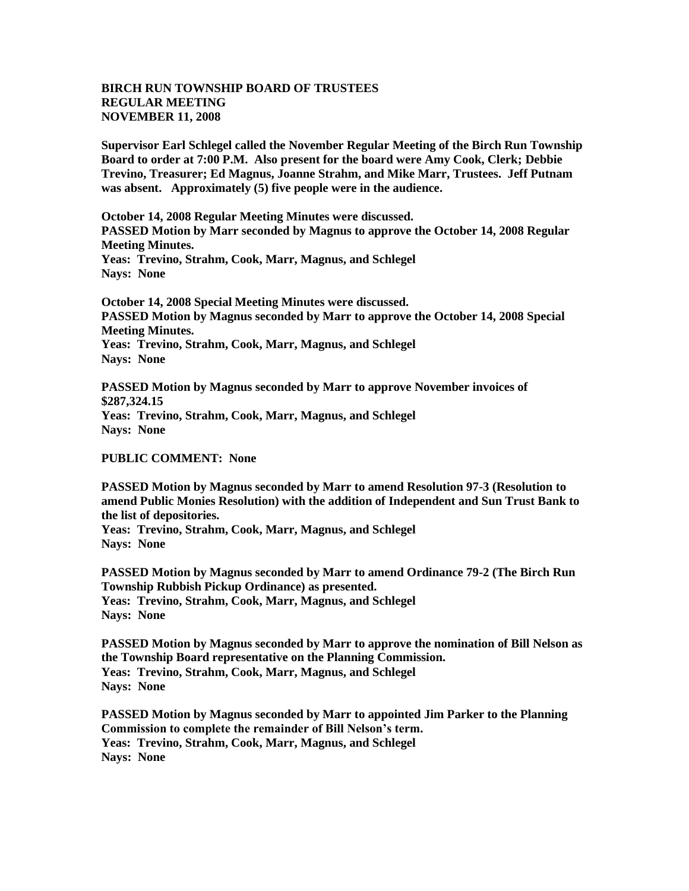## **BIRCH RUN TOWNSHIP BOARD OF TRUSTEES REGULAR MEETING NOVEMBER 11, 2008**

**Supervisor Earl Schlegel called the November Regular Meeting of the Birch Run Township Board to order at 7:00 P.M. Also present for the board were Amy Cook, Clerk; Debbie Trevino, Treasurer; Ed Magnus, Joanne Strahm, and Mike Marr, Trustees. Jeff Putnam was absent. Approximately (5) five people were in the audience.** 

**October 14, 2008 Regular Meeting Minutes were discussed. PASSED Motion by Marr seconded by Magnus to approve the October 14, 2008 Regular Meeting Minutes. Yeas: Trevino, Strahm, Cook, Marr, Magnus, and Schlegel**

**Nays: None** 

**October 14, 2008 Special Meeting Minutes were discussed. PASSED Motion by Magnus seconded by Marr to approve the October 14, 2008 Special Meeting Minutes. Yeas: Trevino, Strahm, Cook, Marr, Magnus, and Schlegel Nays: None**

**PASSED Motion by Magnus seconded by Marr to approve November invoices of \$287,324.15 Yeas: Trevino, Strahm, Cook, Marr, Magnus, and Schlegel Nays: None** 

**PUBLIC COMMENT: None**

**PASSED Motion by Magnus seconded by Marr to amend Resolution 97-3 (Resolution to amend Public Monies Resolution) with the addition of Independent and Sun Trust Bank to the list of depositories.**

**Yeas: Trevino, Strahm, Cook, Marr, Magnus, and Schlegel Nays: None** 

**PASSED Motion by Magnus seconded by Marr to amend Ordinance 79-2 (The Birch Run Township Rubbish Pickup Ordinance) as presented. Yeas: Trevino, Strahm, Cook, Marr, Magnus, and Schlegel Nays: None** 

**PASSED Motion by Magnus seconded by Marr to approve the nomination of Bill Nelson as the Township Board representative on the Planning Commission. Yeas: Trevino, Strahm, Cook, Marr, Magnus, and Schlegel Nays: None** 

**PASSED Motion by Magnus seconded by Marr to appointed Jim Parker to the Planning Commission to complete the remainder of Bill Nelson's term. Yeas: Trevino, Strahm, Cook, Marr, Magnus, and Schlegel Nays: None**